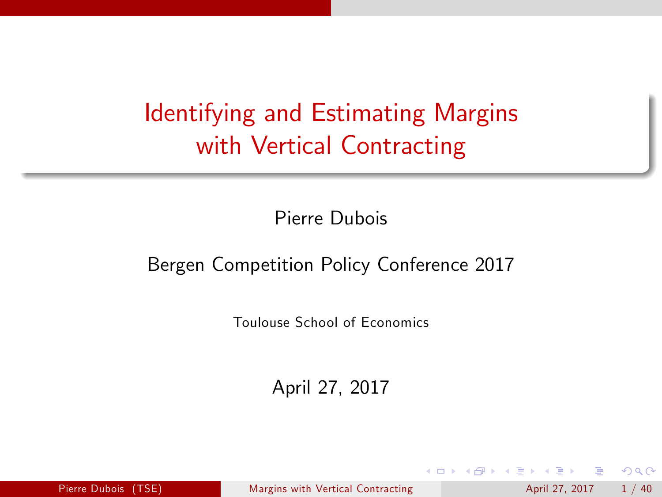# Identifying and Estimating Margins with Vertical Contracting

Pierre Dubois

#### Bergen Competition Policy Conference 2017

Toulouse School of Economics

April 27, 2017

Pierre Dubois (TSE) [Margins with Vertical Contracting](#page-39-0) April 27, 2017 1/40

<span id="page-0-0"></span> $QQQ$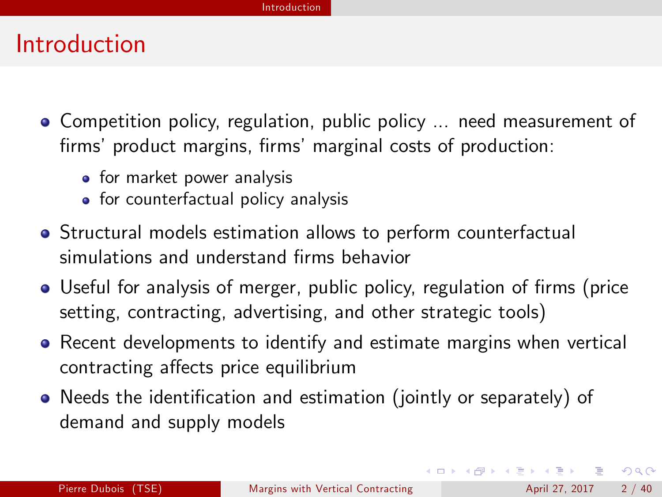#### Introduction

- Competition policy, regulation, public policy ... need measurement of firms' product margins, firms' marginal costs of production:
	- for market power analysis
	- for counterfactual policy analysis
- Structural models estimation allows to perform counterfactual simulations and understand firms behavior
- Useful for analysis of merger, public policy, regulation of firms (price setting, contracting, advertising, and other strategic tools)
- Recent developments to identify and estimate margins when vertical contracting affects price equilibrium
- Needs the identification and estimation (jointly or separately) of demand and supply models

**KOD KARD KED KED B YOUR**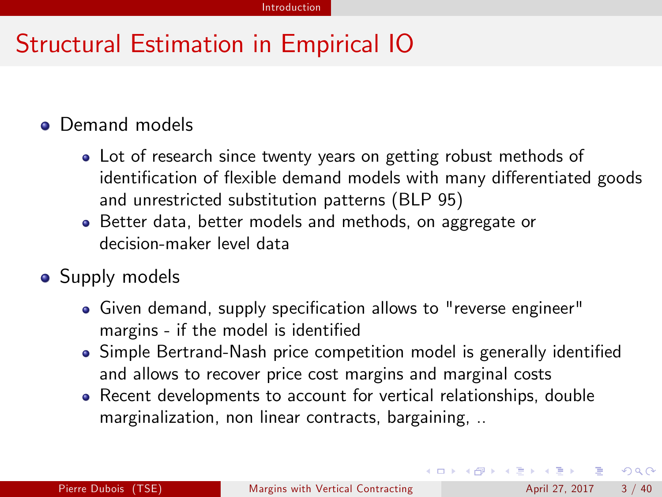# Structural Estimation in Empirical IO

#### **•** Demand models

- Lot of research since twenty years on getting robust methods of identification of flexible demand models with many differentiated goods and unrestricted substitution patterns (BLP 95)
- Better data, better models and methods, on aggregate or decision-maker level data
- Supply models
	- Given demand, supply specification allows to "reverse engineer" margins - if the model is identified
	- Simple Bertrand-Nash price competition model is generally identified and allows to recover price cost margins and marginal costs
	- Recent developments to account for vertical relationships, double marginalization, non linear contracts, bargaining, ..

**KOD KARD KED KED E VOOR**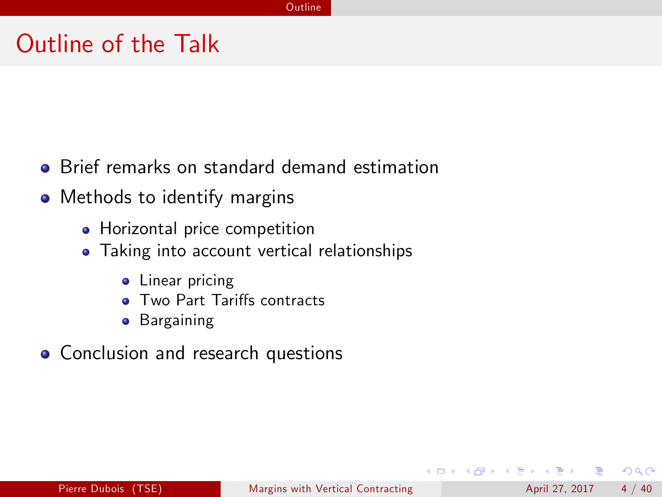#### Outline of the Talk

- **•** Brief remarks on standard demand estimation
- Methods to identify margins
	- Horizontal price competition
	- Taking into account vertical relationships
		- **•** Linear pricing
		- Two Part Tariffs contracts
		- **•** Bargaining
- **Conclusion and research questions**

4 日下

 $QQ$ 

 $\mathcal{A} \cap \mathbb{P} \rightarrow \mathcal{A} \supseteq \mathcal{A} \rightarrow \mathcal{A} \supseteq \mathcal{A}$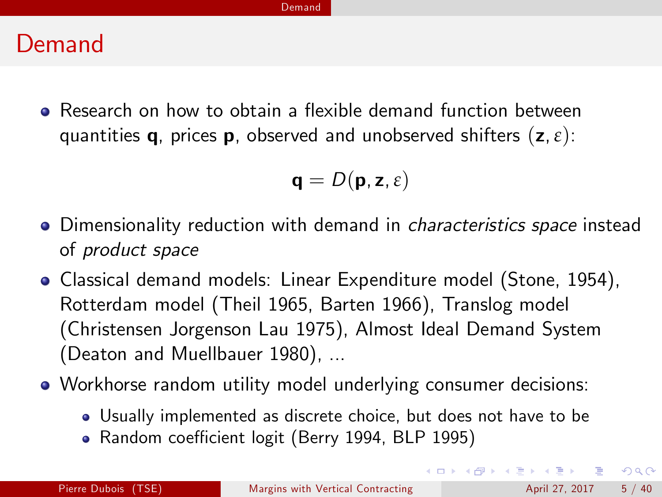#### Demand

• Research on how to obtain a flexible demand function between quantities q, prices p, observed and unobserved shifters (z,*ε*):

$$
\mathbf{q}=D(\mathbf{p},\mathbf{z},\varepsilon)
$$

- Dimensionality reduction with demand in *characteristics space* instead of product space
- Classical demand models: Linear Expenditure model (Stone, 1954), Rotterdam model (Theil 1965, Barten 1966), Translog model (Christensen Jorgenson Lau 1975), Almost Ideal Demand System (Deaton and Muellbauer 1980), ...
- Workhorse random utility model underlying consumer decisions:
	- Usually implemented as discrete choice, but does not have to be
	- Random coefficient logit (Berry 1994, BLP 1995)

 $\Omega$ 

 $\mathbf{A} \equiv \mathbf{A} + \mathbf{A} \mathbf{B} + \mathbf{A} \mathbf{B} + \mathbf{A} \mathbf{B} + \mathbf{B} \mathbf{B}$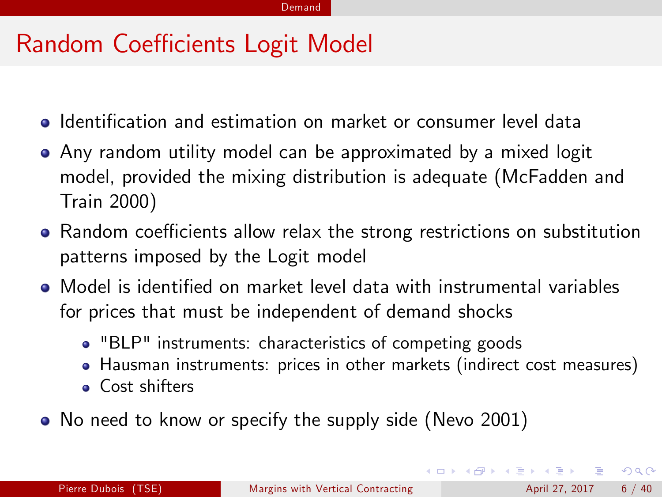### Random Coefficients Logit Model

- Identification and estimation on market or consumer level data
- Any random utility model can be approximated by a mixed logit model, provided the mixing distribution is adequate (McFadden and Train 2000)
- Random coefficients allow relax the strong restrictions on substitution patterns imposed by the Logit model
- $\bullet$  Model is identified on market level data with instrumental variables for prices that must be independent of demand shocks
	- "BLP" instruments: characteristics of competing goods
	- Hausman instruments: prices in other markets (indirect cost measures)
	- Cost shifters
- No need to know or specify the supply side (Nevo 2001)

 $QQ$ 

イロト イ押ト イヨト イヨト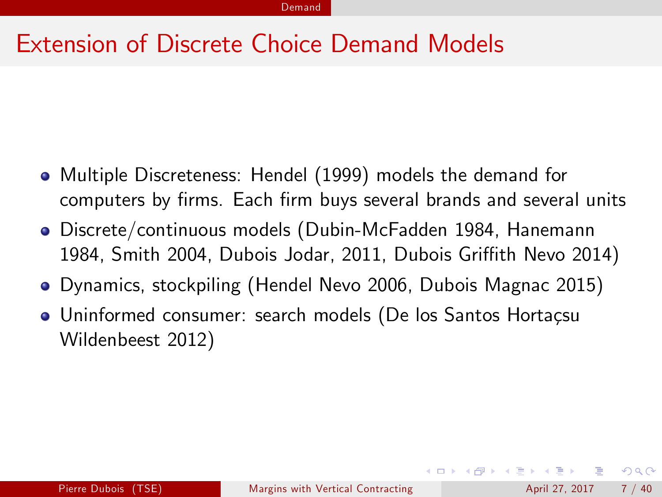#### Extension of Discrete Choice Demand Models

- Multiple Discreteness: Hendel (1999) models the demand for computers by firms. Each firm buys several brands and several units
- Discrete/continuous models (Dubin-McFadden 1984, Hanemann 1984, Smith 2004, Dubois Jodar, 2011, Dubois Griffith Nevo 2014)
- Dynamics, stockpiling (Hendel Nevo 2006, Dubois Magnac 2015)
- Uninformed consumer: search models (De los Santos Hortaçsu Wildenbeest 2012)

 $QQQ$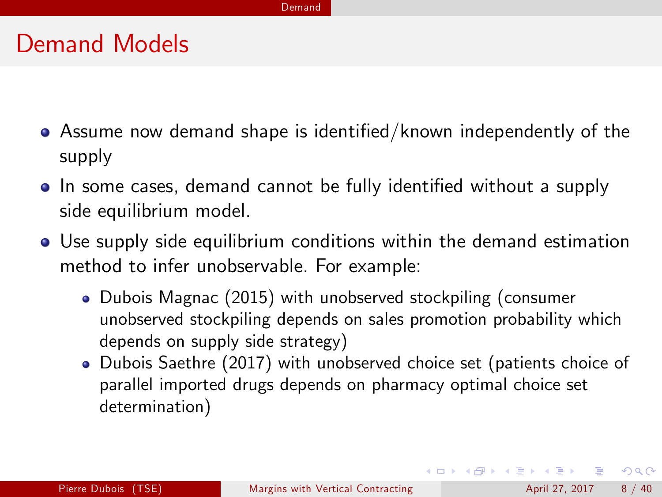#### Demand

#### Demand Models

- Assume now demand shape is identified/known independently of the supply
- In some cases, demand cannot be fully identified without a supply side equilibrium model.
- Use supply side equilibrium conditions within the demand estimation method to infer unobservable. For example:
	- Dubois Magnac (2015) with unobserved stockpiling (consumer unobserved stockpiling depends on sales promotion probability which depends on supply side strategy)
	- Dubois Saethre (2017) with unobserved choice set (patients choice of parallel imported drugs depends on pharmacy optimal choice set determination)

**KOD KARD KED KED E VOOR**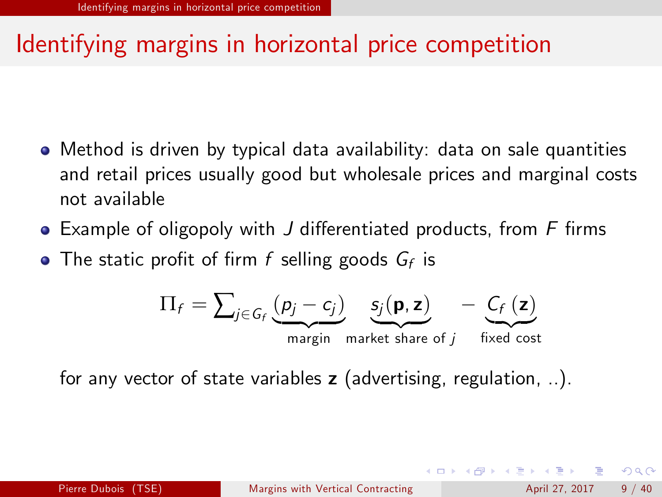# Identifying margins in horizontal price competition

- Method is driven by typical data availability: data on sale quantities and retail prices usually good but wholesale prices and marginal costs not available
- $\bullet$  Example of oligopoly with J differentiated products, from F firms
- The static profit of firm  $f$  selling goods  $G_f$  is

$$
\Pi_f = \sum_{j \in G_f} \underbrace{(p_j - c_j)}_{\text{margin market share of } j} - \underbrace{C_f(z)}_{\text{fixed cost}}
$$

for any vector of state variables  $z$  (advertising, regulation, ..).

 $\Omega$ 

 $\left\{ \begin{array}{ccc} 1 & 0 & 0 \\ 0 & 1 & 0 \end{array} \right.$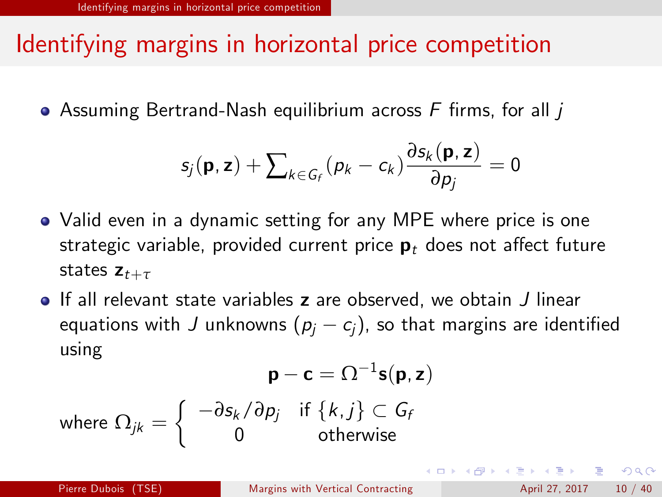# Identifying margins in horizontal price competition

 $\bullet$  Assuming Bertrand-Nash equilibrium across F firms, for all  $$ 

$$
s_j(\mathbf{p}, \mathbf{z}) + \sum\nolimits_{k \in G_f} (p_k - c_k) \frac{\partial s_k(\mathbf{p}, \mathbf{z})}{\partial p_j} = 0
$$

- Valid even in a dynamic setting for any MPE where price is one strategic variable, provided current price  $\mathbf{p}_t$  does not affect future states  $z_{t+\tau}$
- If all relevant state variables z are observed, we obtain J linear equations with J unknowns  $(p_i - c_j)$ , so that margins are identified using

$$
\mathbf{p} - \mathbf{c} = \Omega^{-1} \mathbf{s}(\mathbf{p}, \mathbf{z})
$$
  
where 
$$
\Omega_{jk} = \begin{cases} -\partial s_k / \partial p_j & \text{if } \{k, j\} \subset G_f \\ 0 & \text{otherwise} \end{cases}
$$

 $=$   $\Omega$ 

メロメ メ都 メメ きょくきょ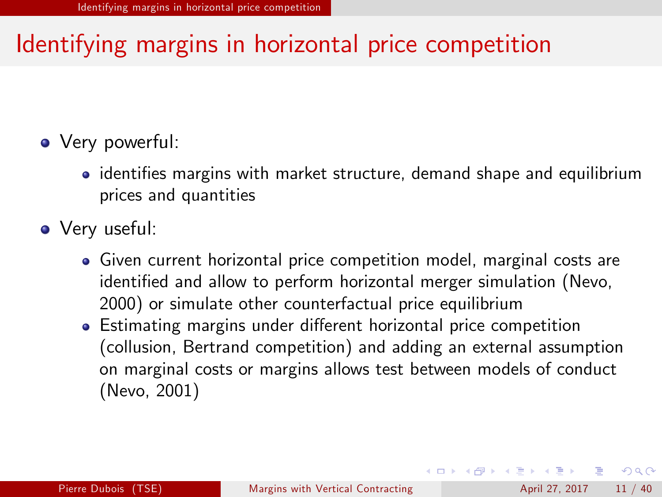# Identifying margins in horizontal price competition

#### • Very powerful:

- identifies margins with market structure, demand shape and equilibrium prices and quantities
- Very useful:
	- Given current horizontal price competition model, marginal costs are identified and allow to perform horizontal merger simulation (Nevo, 2000) or simulate other counterfactual price equilibrium
	- Estimating margins under different horizontal price competition (collusion, Bertrand competition) and adding an external assumption on marginal costs or margins allows test between models of conduct (Nevo, 2001)

 $\Omega$ 

K ロ > K 個 > K 경 > K 경 > 시 경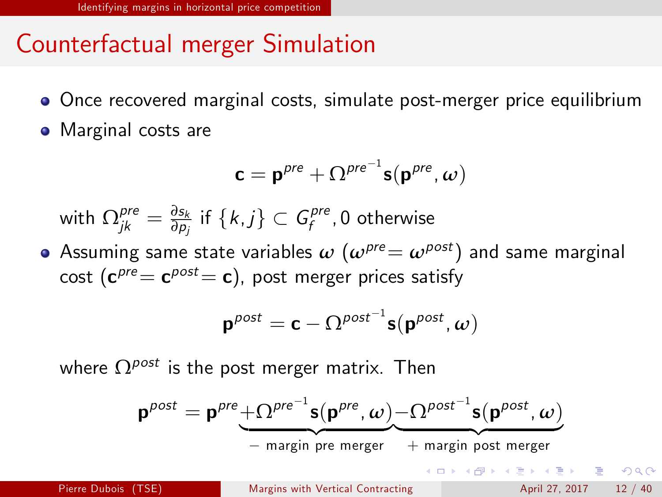# Counterfactual merger Simulation

- Once recovered marginal costs, simulate post-merger price equilibrium
- Marginal costs are

$$
\mathbf{c} = \mathbf{p}^{pre} + \Omega^{pre^{-1}} \mathbf{s}(\mathbf{p}^{pre}, \omega)
$$

with  $\Omega_{jk}^{\mathit{pre}}=\frac{\partial s_{k}}{\partial p_{j}}$  $\frac{\partial s_k}{\partial p_j}$  if  $\{k,j\} \subset G_f^{pre}$  $f_f^{pre}$ ,  $0$  otherwise

• Assuming same state variables  $\omega$  ( $\omega^{pre} = \omega^{post}$ ) and same marginal cost  $(\mathbf{c}^{pre}\!=\mathbf{c}^{post}\!=\mathbf{c})$ , post merger prices satisfy

$$
\mathbf{p}^{post} = \mathbf{c} - \Omega^{post^{-1}} \mathbf{s}(\mathbf{p}^{post}, \omega)
$$

where  $\Omega^{post}$  is the post merger matrix. Then

$$
\mathbf{p}^{post} = \mathbf{p}^{pre} + \Omega^{pre^{-1}} \mathbf{s}(\mathbf{p}^{pre}, \omega) - \Omega^{post^{-1}} \mathbf{s}(\mathbf{p}^{post}, \omega)
$$
  
- margin pre merger + margin post merger  
Here Dubois (TSE)  
Margins with Vertical Contracting  
April 27, 2017 12 / 40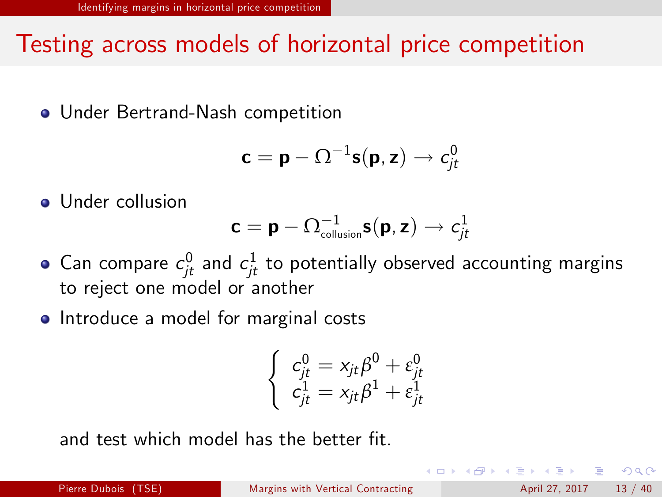## Testing across models of horizontal price competition

Under Bertrand-Nash competition

$$
\mathbf{c} = \mathbf{p} - \Omega^{-1} \mathbf{s}(\mathbf{p}, \mathbf{z}) \rightarrow c_{jt}^0
$$

**•** Under collusion

$$
\mathbf{c} = \mathbf{p} - \boldsymbol{\Omega}_{\text{collision}}^{-1} \mathbf{s}(\mathbf{p}, \mathbf{z}) \rightarrow c_{jt}^1
$$

- Can compare  $c_{jt}^0$  and  $c_{jt}^1$  to potentially observed accounting margins to reject one model or another
- Introduce a model for marginal costs

$$
\left\{ \begin{array}{l} c_{jt}^0 = x_{jt}\beta^0 + \varepsilon_{jt}^0 \\ c_{jt}^1 = x_{jt}\beta^1 + \varepsilon_{jt}^1 \end{array} \right.
$$

and test which model has the hetter fit.

 $QQQ$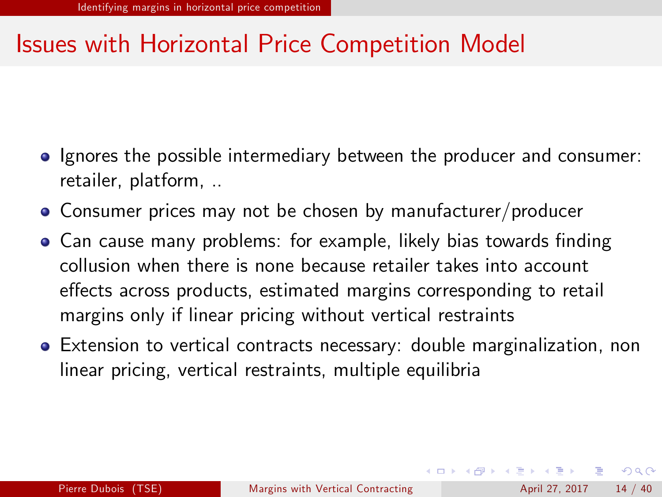# Issues with Horizontal Price Competition Model

- **Ignores the possible intermediary between the producer and consumer:** retailer, platform, ..
- Consumer prices may not be chosen by manufacturer/producer
- Can cause many problems: for example, likely bias towards finding collusion when there is none because retailer takes into account effects across products, estimated margins corresponding to retail margins only if linear pricing without vertical restraints
- Extension to vertical contracts necessary: double marginalization, non linear pricing, vertical restraints, multiple equilibria

 $\Omega$ 

イロト イ押ト イヨト イヨト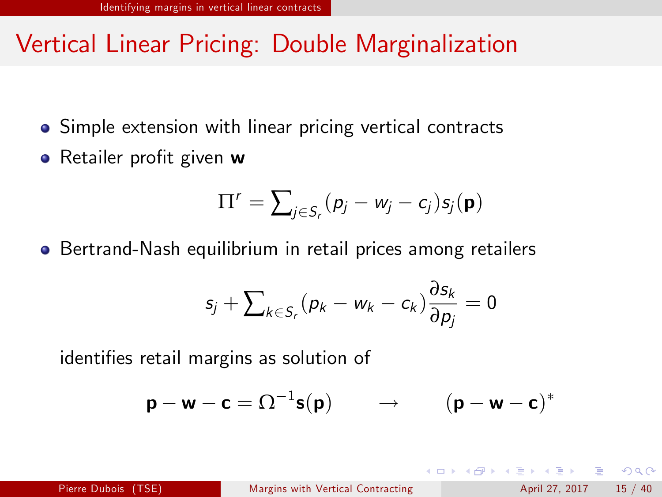# Vertical Linear Pricing: Double Marginalization

- Simple extension with linear pricing vertical contracts
- Retailer profit given w

$$
\Pi^r = \sum_{j \in S_r} (p_j - w_j - c_j) s_j(\mathbf{p})
$$

Bertrand-Nash equilibrium in retail prices among retailers

$$
s_j+\sum_{k\in S_r}(p_k-w_k-c_k)\frac{\partial s_k}{\partial p_j}=0
$$

identifies retail margins as solution of

$$
\mathbf{p} - \mathbf{w} - \mathbf{c} = \Omega^{-1} \mathbf{s}(\mathbf{p}) \qquad \rightarrow \qquad (\mathbf{p} - \mathbf{w} - \mathbf{c})^*
$$

 $\Omega$ 

イロト イ母 トイラト イラト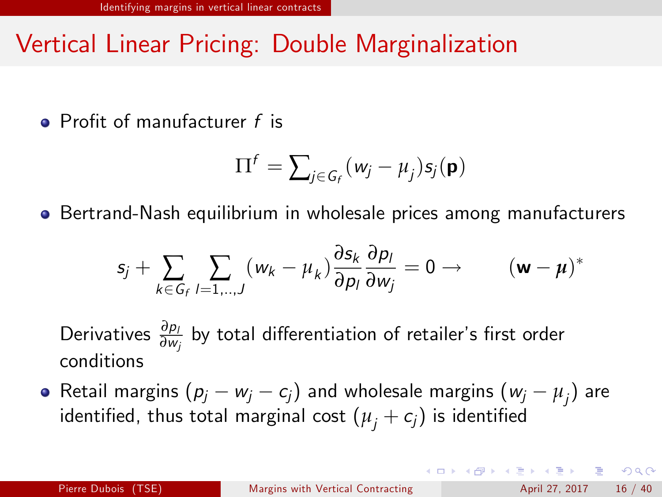# Vertical Linear Pricing: Double Marginalization

 $\bullet$  Profit of manufacturer f is

$$
\Pi^f = \sum_{j \in G_f} (w_j - \mu_j) s_j(\mathbf{p})
$$

Bertrand-Nash equilibrium in wholesale prices among manufacturers

$$
s_j + \sum_{k \in G_f} \sum_{l=1...,J} (w_k - \mu_k) \frac{\partial s_k}{\partial p_l} \frac{\partial p_l}{\partial w_j} = 0 \rightarrow \qquad (\mathbf{w} - \mathbf{\mu})^*
$$

Derivatives  $\frac{\partial p_l}{\partial w_j}$  by total differentiation of retailer's first order conditions

Retail margins  $(p_j - w_j - c_j)$  and wholesale margins  $(w_j - \mu_j)$  are identified, thus total marginal cost  $(\mu_i + c_j)$  is identified

<span id="page-15-0"></span> $\Omega$ 

 $A \cup B \rightarrow A \oplus B \rightarrow A \oplus B \rightarrow A \oplus B \rightarrow B$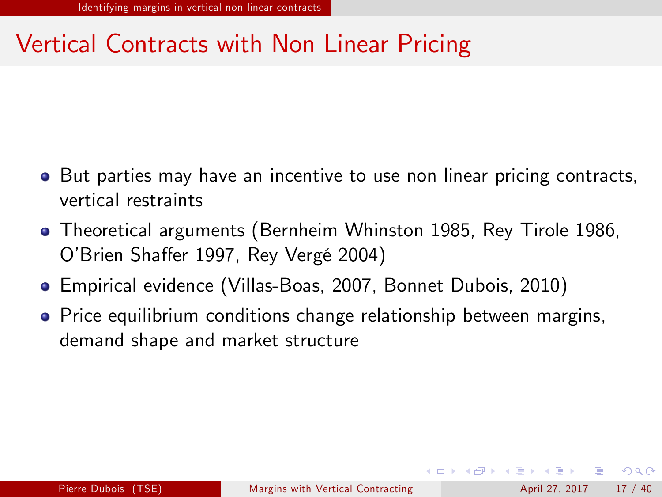- But parties may have an incentive to use non linear pricing contracts, vertical restraints
- Theoretical arguments (Bernheim Whinston 1985, Rey Tirole 1986, O'Brien Shaffer 1997, Rey Vergé 2004)
- Empirical evidence (Villas-Boas, 2007, Bonnet Dubois, 2010)
- **•** Price equilibrium conditions change relationship between margins, demand shape and market structure

<span id="page-16-0"></span> $\Omega$ 

イロト イ押ト イヨト イヨト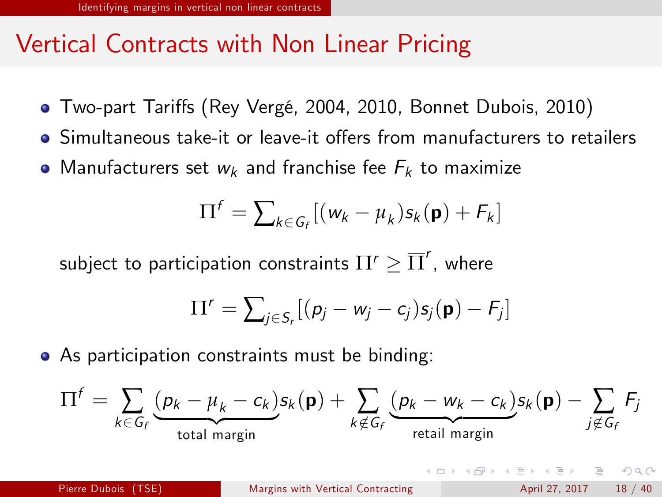- Two-part Tariffs (Rey Vergé, 2004, 2010, Bonnet Dubois, 2010)
- Simultaneous take-it or leave-it offers from manufacturers to retailers
- Manufacturers set  $w_k$  and franchise fee  $F_k$  to maximize

$$
\Pi^f = \sum_{k \in G_f} [(w_k - \mu_k) s_k(\mathbf{p}) + F_k]
$$

subject to participation constraints  $\Pi^r\geq \overline{\Pi}^r$ , where

$$
\Pi^r = \sum_{j \in S_r} [(p_j - w_j - c_j)s_j(\mathbf{p}) - F_j]
$$

As participation constraints must be binding:

$$
\Pi^{f} = \sum_{k \in G_{f}} \underbrace{(p_{k} - \mu_{k} - c_{k}) s_{k}(\mathbf{p})}_{total margin} + \sum_{k \notin G_{f}} \underbrace{(p_{k} - w_{k} - c_{k}) s_{k}(\mathbf{p}) - \sum_{j \notin G_{f}} F_{j}}_{\text{retail margin}}
$$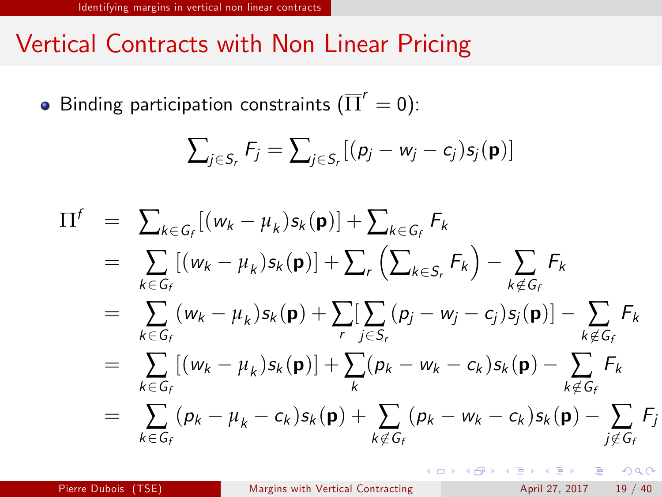Binding participation constraints  $(\overline{\Pi}'=0)$ :

$$
\sum_{j \in S_r} F_j = \sum_{j \in S_r} [(p_j - w_j - c_j) s_j(\mathbf{p})]
$$

$$
\Pi^{f} = \sum_{k \in G_{f}} [(w_{k} - \mu_{k})s_{k}(\mathbf{p})] + \sum_{k \in G_{f}} F_{k}
$$
\n
$$
= \sum_{k \in G_{f}} [(w_{k} - \mu_{k})s_{k}(\mathbf{p})] + \sum_{r} (\sum_{k \in S_{r}} F_{k}) - \sum_{k \notin G_{f}} F_{k}
$$
\n
$$
= \sum_{k \in G_{f}} (w_{k} - \mu_{k})s_{k}(\mathbf{p}) + \sum_{r} [\sum_{j \in S_{r}} (p_{j} - w_{j} - c_{j})s_{j}(\mathbf{p})] - \sum_{k \notin G_{f}} F_{k}
$$
\n
$$
= \sum_{k \in G_{f}} [(w_{k} - \mu_{k})s_{k}(\mathbf{p})] + \sum_{k} (p_{k} - w_{k} - c_{k})s_{k}(\mathbf{p}) - \sum_{k \notin G_{f}} F_{k}
$$
\n
$$
= \sum_{k \in G_{f}} (p_{k} - \mu_{k} - c_{k})s_{k}(\mathbf{p}) + \sum_{k \notin G_{f}} (p_{k} - w_{k} - c_{k})s_{k}(\mathbf{p}) - \sum_{j \notin G_{f}} F_{j}
$$

 $=$   $\Omega$ 

 $\left\{ \begin{array}{ccc} 1 & 0 & 0 \\ 0 & 1 & 0 \end{array} \right.$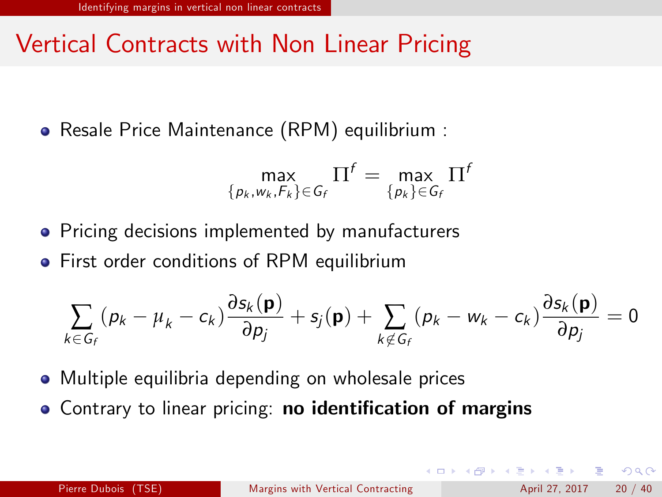Resale Price Maintenance (RPM) equilibrium :

$$
\max_{\{p_k,w_k,F_k\}\in\mathcal{G}_f}\Pi^f=\max_{\{p_k\}\in\mathcal{G}_f}\Pi^f
$$

- **•** Pricing decisions implemented by manufacturers
- First order conditions of RPM equilibrium

$$
\sum_{k \in G_f} (p_k - \mu_k - c_k) \frac{\partial s_k(\mathbf{p})}{\partial p_j} + s_j(\mathbf{p}) + \sum_{k \notin G_f} (p_k - w_k - c_k) \frac{\partial s_k(\mathbf{p})}{\partial p_j} = 0
$$

- Multiple equilibria depending on wholesale prices
- **.** Contrary to linear pricing: no identification of margins

 $QQQ$ 

K個 > スミ > スミ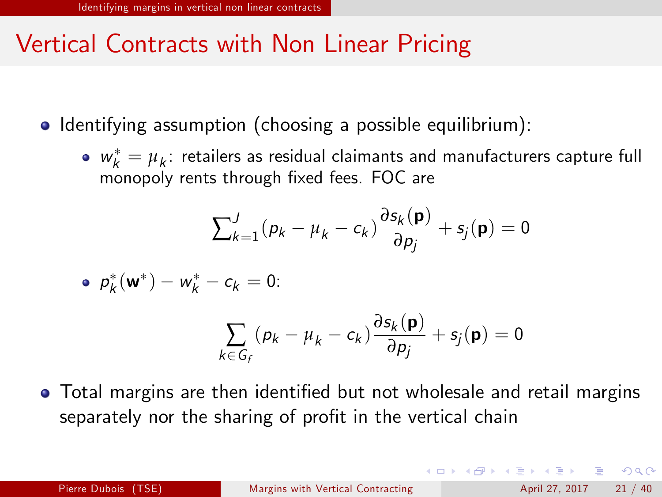- Identifying assumption (choosing a possible equilibrium):
	- $w_k^* = \mu_k$ : retailers as residual claimants and manufacturers capture full monopoly rents through fixed fees. FOC are

$$
\sum_{k=1}^{J} (p_k - \mu_k - c_k) \frac{\partial s_k(\mathbf{p})}{\partial p_j} + s_j(\mathbf{p}) = 0
$$

• 
$$
p_k^*(\mathbf{w}^*) - w_k^* - c_k = 0
$$
:

$$
\sum_{k \in G_f} (p_k - \mu_k - c_k) \frac{\partial s_k(\mathbf{p})}{\partial p_j} + s_j(\mathbf{p}) = 0
$$

• Total margins are then identified but not wholesale and retail margins separately nor the sharing of profit in the vertical chain

**KOD KARD KED KED E VOOR**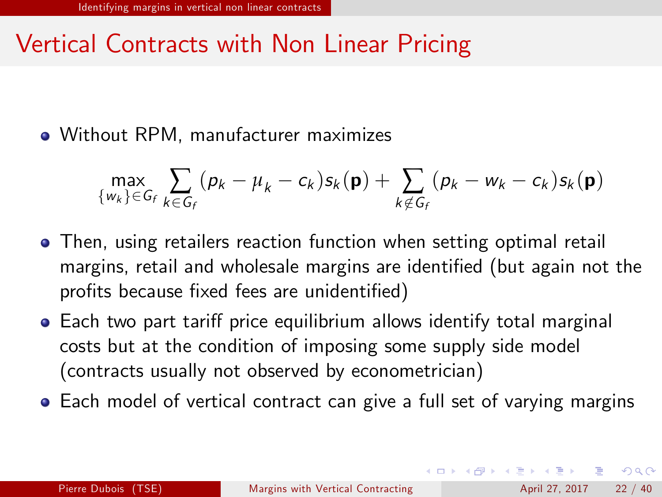Without RPM, manufacturer maximizes

$$
\max_{\{w_k\}\in G_f}\sum_{k\in G_f}(p_k-\mu_k-c_k)s_k(\mathbf{p})+\sum_{k\notin G_f}(p_k-w_k-c_k)s_k(\mathbf{p})
$$

- Then, using retailers reaction function when setting optimal retail margins, retail and wholesale margins are identified (but again not the profits because fixed fees are unidentified)
- Each two part tariff price equilibrium allows identify total marginal costs but at the condition of imposing some supply side model (contracts usually not observed by econometrician)
- Each model of vertical contract can give a full set of varying margins

<span id="page-21-0"></span> $\Omega$ 

イロト イ押ト イヨト イヨト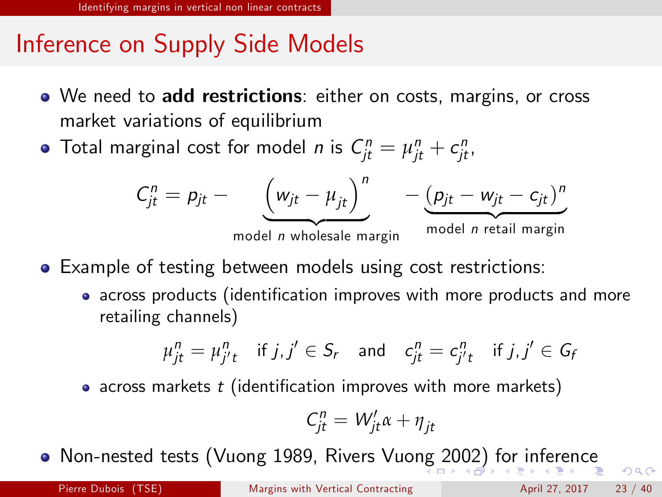# Inference on Supply Side Models

- We need to add restrictions: either on costs, margins, or cross market variations of equilibrium
- Total marginal cost for model *n* is  $\mathcal{C}_{jt}^n = \mu_{jt}^n + c_{jt}^n$ ,

$$
C_{jt}^{n} = p_{jt} - \underbrace{\left(w_{jt} - \mu_{jt}\right)^{n}}_{\text{model } n \text{ whole} \text{ angle } \max_{m \text{ angle}} - \underbrace{\left(p_{jt} - w_{jt} - c_{jt}\right)^{n}}_{\text{model } n \text{ retail margin}}
$$

- Example of testing between models using cost restrictions:
	- across products (identification improves with more products and more retailing channels)

$$
\mu_{jt}^n = \mu_{j't}^n \quad \text{if } j, j' \in S_r \quad \text{and} \quad c_{jt}^n = c_{j't}^n \quad \text{if } j, j' \in G_f
$$

• across markets  $t$  (identification improves with more markets)

$$
C_{jt}^n = W_{jt}'\alpha + \eta_{jt}
$$

Non-nested tests (Vuong 1989, Rivers Vuo[ng](#page-21-0) [20](#page-23-0)[0](#page-21-0)[2\)](#page-22-0) [f](#page-23-0)[o](#page-15-0)[r](#page-16-0) [i](#page-33-0)[n](#page-34-0)[fe](#page-15-0)[r](#page-16-0)[e](#page-33-0)[n](#page-34-0)[ce](#page-0-0)

<span id="page-22-0"></span> $QQ$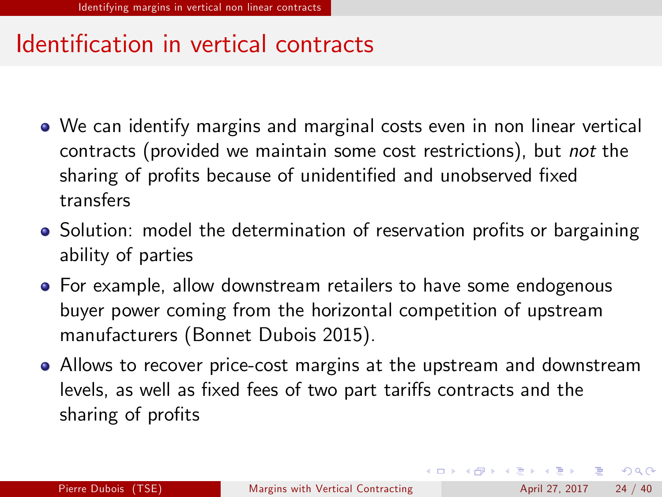## Identification in vertical contracts

- We can identify margins and marginal costs even in non linear vertical contracts (provided we maintain some cost restrictions), but not the sharing of profits because of unidentified and unobserved fixed transfers
- Solution: model the determination of reservation profits or bargaining ability of parties
- **•** For example, allow downstream retailers to have some endogenous buyer power coming from the horizontal competition of upstream manufacturers (Bonnet Dubois 2015).
- Allows to recover price-cost margins at the upstream and downstream levels, as well as fixed fees of two part tariffs contracts and the sharing of profits

<span id="page-23-0"></span> $\Omega$ 

 $\left\{ \begin{array}{ccc} 1 & 0 & 0 \\ 0 & 1 & 0 \end{array} \right.$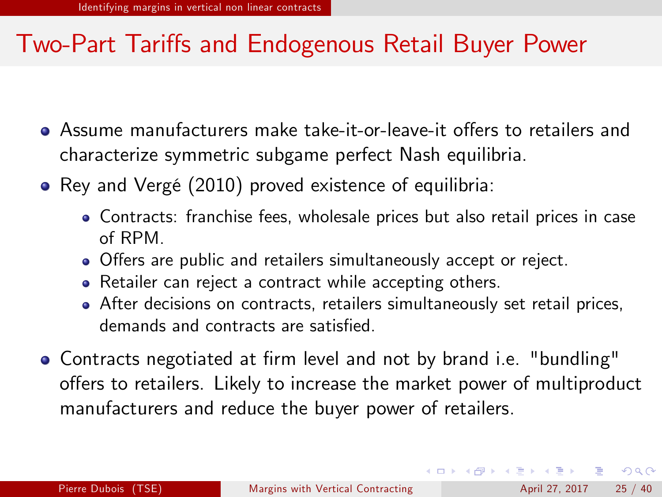- Assume manufacturers make take-it-or-leave-it offers to retailers and characterize symmetric subgame perfect Nash equilibria.
- Rey and Vergé (2010) proved existence of equilibria:
	- Contracts: franchise fees, wholesale prices but also retail prices in case of RPM.
	- Offers are public and retailers simultaneously accept or reject.
	- Retailer can reject a contract while accepting others.
	- After decisions on contracts, retailers simultaneously set retail prices, demands and contracts are satisfied.
- Contracts negotiated at firm level and not by brand i.e. "bundling" offers to retailers. Likely to increase the market power of multiproduct manufacturers and reduce the buyer power of retailers.

 $\Omega$ 

イロト イ部 トメ ヨ トメ ヨト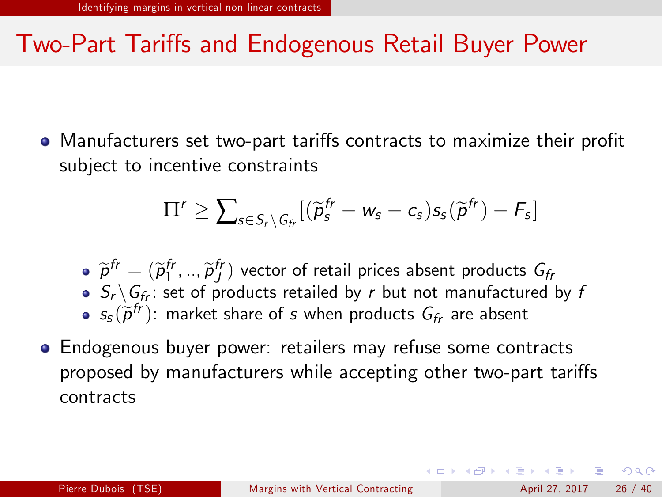• Manufacturers set two-part tariffs contracts to maximize their profit subject to incentive constraints

$$
\Pi' \geq \sum_{s \in S_r \setminus G_{fr}} [(\widetilde{\rho}_s^{fr} - w_s - c_s) s_s(\widetilde{\rho}^{fr}) - F_s]
$$

- $\widetilde{p}^{fr} = (\widetilde{p}_1^{fr}, ..., \widetilde{p}_J^{fr})$  vector of retail prices absent products  $G_f$
- $\bullet$   $S_r \backslash G_f$ : set of products retailed by r but not manufactured by f
- $s_{s}(\widetilde{p}^{fr})$ : market share of s when products  $G_{fr}$  are absent
- Endogenous buyer power: retailers may refuse some contracts proposed by manufacturers while accepting other two-part tariffs contracts

**KOD KARD KED KED E VOOR**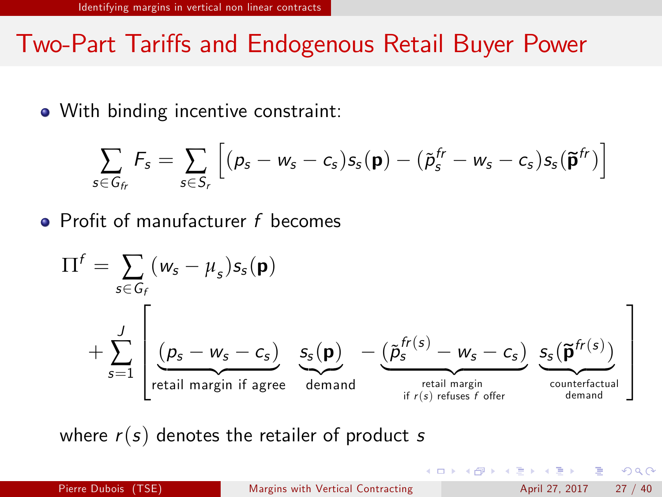• With binding incentive constraint:

$$
\sum_{s \in G_f} F_s = \sum_{s \in S_r} \left[ (p_s - w_s - c_s) s_s(\mathbf{p}) - (\tilde{p}_s^{fr} - w_s - c_s) s_s(\mathbf{\tilde{p}}^{fr}) \right]
$$

 $\bullet$  Profit of manufacturer f becomes

$$
\Pi^{f} = \sum_{s \in G_{f}} (\mathbf{w}_{s} - \mu_{s}) s_{s}(\mathbf{p})
$$
\n
$$
+ \sum_{s=1}^{J} \left[ \underbrace{(\mathbf{p}_{s} - \mathbf{w}_{s} - c_{s})}_{\text{retail margin if agree}} \underbrace{s_{s}(\mathbf{p})}_{\text{demand}} - \underbrace{(\tilde{\mathbf{p}}_{s}^{fr(s)} - \mathbf{w}_{s} - c_{s})}_{\text{retail margin}} \underbrace{s_{s}(\tilde{\mathbf{p}}^{fr(s)})}_{\text{counterfactual}} \right]
$$

where  $r(s)$  denotes the retailer of product s

 $\Omega$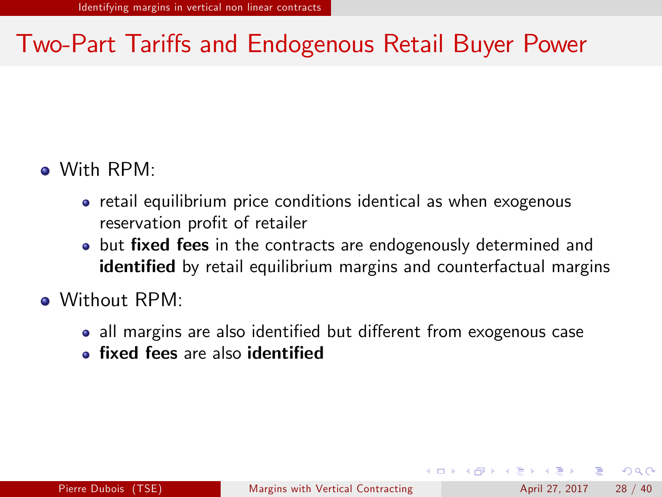#### With RPM:

- retail equilibrium price conditions identical as when exogenous reservation profit of retailer
- but fixed fees in the contracts are endogenously determined and identified by retail equilibrium margins and counterfactual margins
- Without RPM:
	- all margins are also identified but different from exogenous case
	- **fixed fees are also identified**

 $\Omega$ 

イロト イ押ト イヨト イヨト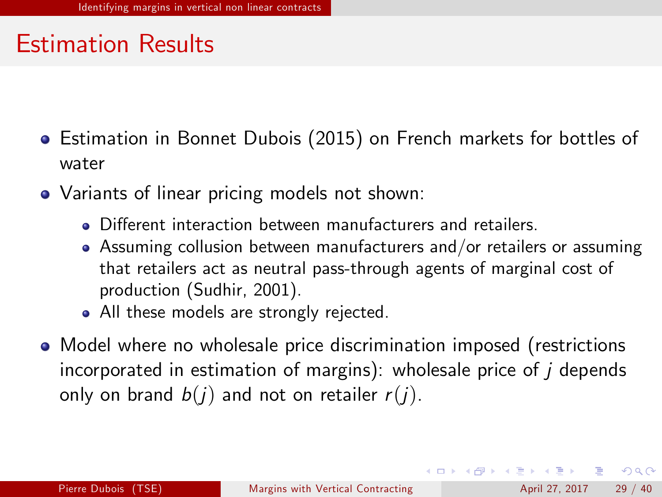- **E** Estimation in Bonnet Dubois (2015) on French markets for bottles of water
- Variants of linear pricing models not shown:
	- **•** Different interaction between manufacturers and retailers
	- Assuming collusion between manufacturers and/or retailers or assuming that retailers act as neutral pass-through agents of marginal cost of production (Sudhir, 2001).
	- All these models are strongly rejected.
- Model where no wholesale price discrimination imposed (restrictions incorporated in estimation of margins): wholesale price of  *depends* only on brand  $b(i)$  and not on retailer  $r(i)$ .

**KOD KARD KED KED E VOOR**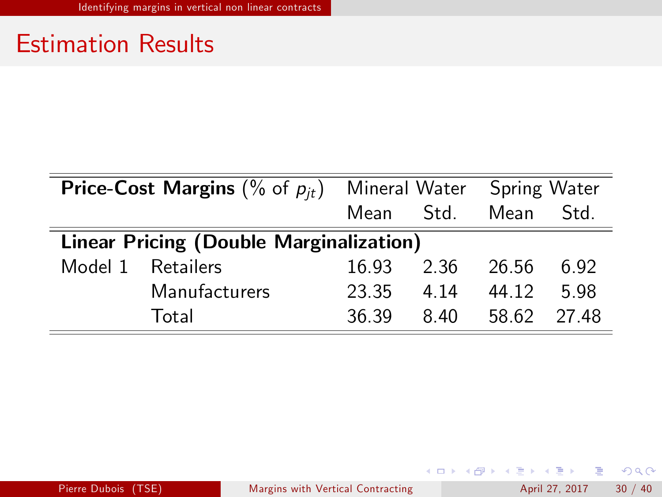| <b>Price-Cost Margins</b> (% of $p_{it}$ ) |                   | Mineral Water |      | Spring Water |       |  |  |
|--------------------------------------------|-------------------|---------------|------|--------------|-------|--|--|
|                                            |                   | Mean          | Std. | Mean         | Std.  |  |  |
| Linear Pricing (Double Marginalization)    |                   |               |      |              |       |  |  |
|                                            | Model 1 Retailers | 16.93         | 2.36 | 26.56        | 6.92  |  |  |
|                                            | Manufacturers     | 23.35         | 4 14 | 44.12        | 5.98  |  |  |
|                                            | Total             | 36.39         | 8.40 | 58.62        | 27 48 |  |  |

Pierre Dubois (TSE) [Margins with Vertical Contracting](#page-0-0) April 27, 2017 30 / 40

イロト イ母 トイミト イミト ニヨー りんぴ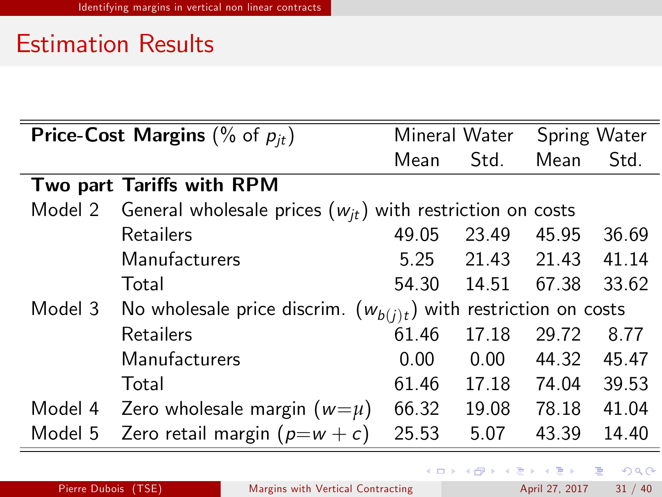| <b>Price-Cost Margins</b> (% of $p_{it}$ ) |                                                                       |                                                                     | Mineral Water |       | Spring Water |  |
|--------------------------------------------|-----------------------------------------------------------------------|---------------------------------------------------------------------|---------------|-------|--------------|--|
|                                            |                                                                       | Mean                                                                | Std.          | Mean  | Std.         |  |
|                                            | Two part Tariffs with RPM                                             |                                                                     |               |       |              |  |
|                                            | Model 2 General wholesale prices $(w_{jt})$ with restriction on costs |                                                                     |               |       |              |  |
|                                            | Retailers                                                             | 49.05                                                               | 23.49         | 45.95 | 36.69        |  |
|                                            | Manufacturers                                                         | 5.25                                                                | 21.43         | 21.43 | 41.14        |  |
|                                            | Total                                                                 | 54.30                                                               | 14.51         | 67.38 | 33.62        |  |
| Model 3                                    |                                                                       | No wholesale price discrim. $(w_{b(j)t})$ with restriction on costs |               |       |              |  |
|                                            | Retailers                                                             | 61.46                                                               | 17.18         | 29.72 | 8.77         |  |
|                                            | Manufacturers                                                         | 0.00                                                                | 0.00          | 44.32 | 45.47        |  |
|                                            | Total                                                                 | 61.46                                                               | 17.18         | 74.04 | 39.53        |  |
|                                            | Model 4 Zero wholesale margin $(w=\mu)$                               | 66.32                                                               | 19.08         | 78.18 | 41.04        |  |
| Model 5                                    | Zero retail margin $(p=w+c)$                                          | 25.53                                                               | 5.07          | 43.39 | 14.40        |  |

 $E = \Omega$ 

イロト イ部 トメ ヨ トメ ヨト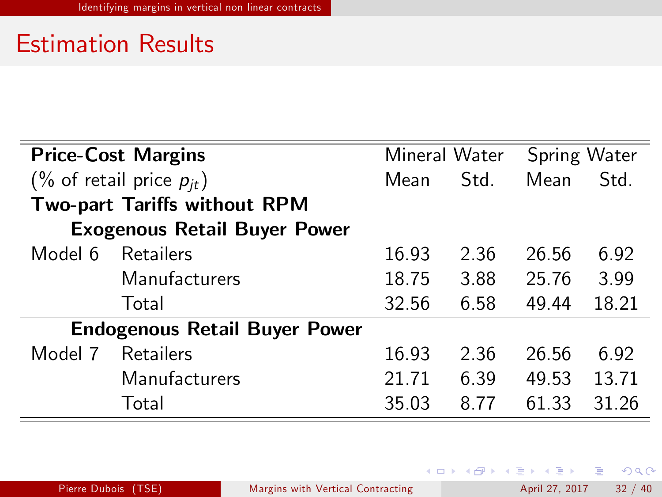| <b>Price-Cost Margins</b>        |                                      | Mineral Water |      | Spring Water |       |
|----------------------------------|--------------------------------------|---------------|------|--------------|-------|
| $(\%$ of retail price $p_{it}$ ) |                                      | Mean          | Std. | Mean         | Std.  |
| Two-part Tariffs without RPM     |                                      |               |      |              |       |
|                                  | <b>Exogenous Retail Buyer Power</b>  |               |      |              |       |
| Model 6                          | Retailers                            | 16.93         | 2.36 | 26.56        | 6.92  |
|                                  | Manufacturers                        | 18.75         | 3.88 | 25.76        | 3.99  |
|                                  | Total                                | 32.56         | 6.58 | 49.44        | 18.21 |
|                                  | <b>Endogenous Retail Buyer Power</b> |               |      |              |       |
| Model 7                          | Retailers                            | 16.93         | 2.36 | 26.56        | 6.92  |
|                                  | Manufacturers                        | 21.71         | 6.39 | 49.53        | 13.71 |
|                                  | Total                                | 35.03         | 8 77 | 61.33        | 31.26 |

イロト イ母 トイミト イミト ニヨー りんぴ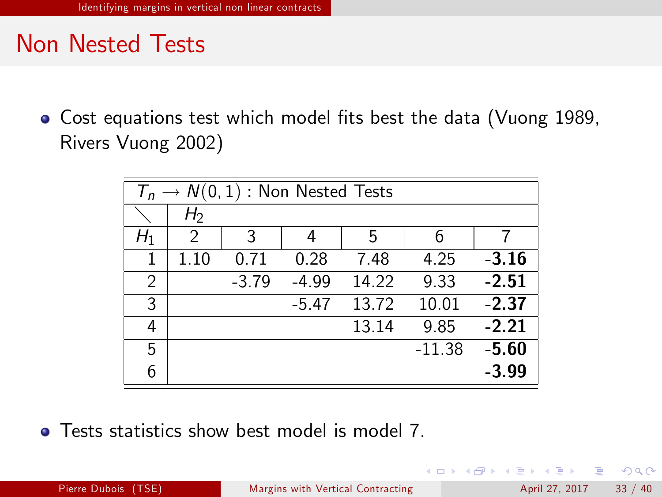### Non Nested Tests

• Cost equations test which model fits best the data (Vuong 1989, Rivers Vuong 2002)

| $T_n \to N(0,1)$ : Non Nested Tests |                |         |         |       |          |         |
|-------------------------------------|----------------|---------|---------|-------|----------|---------|
|                                     | H <sub>2</sub> |         |         |       |          |         |
| H1                                  | 2              | 3       | 4       | 5     | 6        | 7       |
| 1                                   | 1.10           | 0.71    | 0.28    | 7.48  | 4.25     | $-3.16$ |
| $\overline{2}$                      |                | $-3.79$ | $-4.99$ | 14.22 | 9.33     | $-2.51$ |
| 3                                   |                |         | $-5.47$ | 13.72 | 10.01    | $-2.37$ |
| 4                                   |                |         |         | 13.14 | 9.85     | $-2.21$ |
| 5                                   |                |         |         |       | $-11.38$ | $-5.60$ |
| 6                                   |                |         |         |       |          | $-3.99$ |

**• Tests statistics show best model is model 7.** 

画  $\Omega$ 

 $\left\{ \begin{array}{ccc} 1 & 0 & 0 \\ 0 & 1 & 0 \end{array} \right.$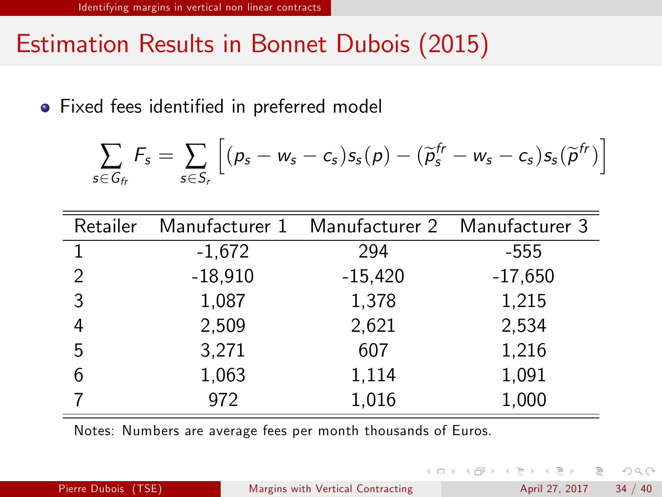# Estimation Results in Bonnet Dubois (2015)

• Fixed fees identified in preferred model

$$
\sum_{s \in G_{fr}} F_s = \sum_{s \in S_r} \left[ (\rho_s - w_s - c_s) s_s(\rho) - (\widetilde{\rho}_s^{fr} - w_s - c_s) s_s(\widetilde{\rho}^{fr}) \right]
$$

| Retailer |           | Manufacturer 1 Manufacturer 2 Manufacturer 3 |           |
|----------|-----------|----------------------------------------------|-----------|
|          | $-1,672$  | 294                                          | $-555$    |
| 2        | $-18,910$ | $-15,420$                                    | $-17,650$ |
| 3        | 1,087     | 1,378                                        | 1,215     |
| 4        | 2,509     | 2,621                                        | 2,534     |
| 5        | 3,271     | 607                                          | 1,216     |
| 6        | 1,063     | 1,114                                        | 1,091     |
|          | 972       | 1,016                                        | 1,000     |

Notes: Numbers are average fees per month thousands of Euros.

<span id="page-33-0"></span> $QQ$ 

 $\left\{ \begin{array}{ccc} 1 & 0 & 0 \\ 0 & 1 & 0 \end{array} \right.$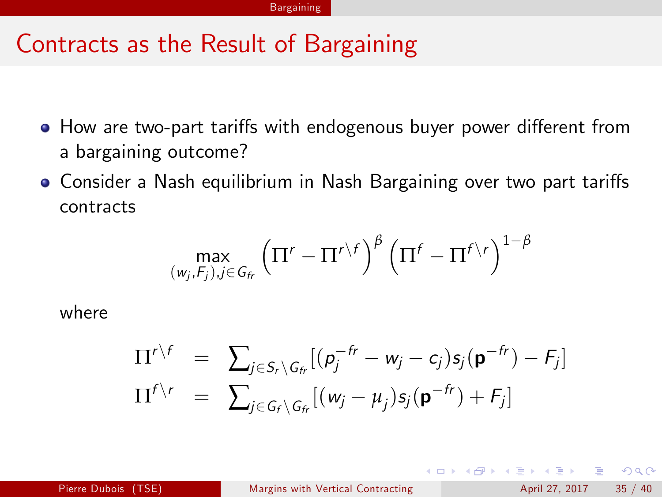- How are two-part tariffs with endogenous buyer power different from a bargaining outcome?
- Consider a Nash equilibrium in Nash Bargaining over two part tariffs contracts

$$
\max_{(w_j,F_j),j\in G_{fr}}\left(\Pi^r-\Pi^{r\setminus f}\right)^{\beta}\left(\Pi^f-\Pi^{f\setminus r}\right)^{1-\beta}
$$

where

$$
\Pi^{r \setminus f} = \sum_{j \in S_r \setminus G_{fr}} [(p_j^{-fr} - w_j - c_j)s_j(\mathbf{p}^{-fr}) - F_j]
$$
  

$$
\Pi^{f \setminus r} = \sum_{j \in G_f \setminus G_{fr}} [(w_j - \mu_j)s_j(\mathbf{p}^{-fr}) + F_j]
$$

4 日下

<span id="page-34-0"></span> $QQ$ 

→ 何 ▶ → ヨ ▶ → ヨ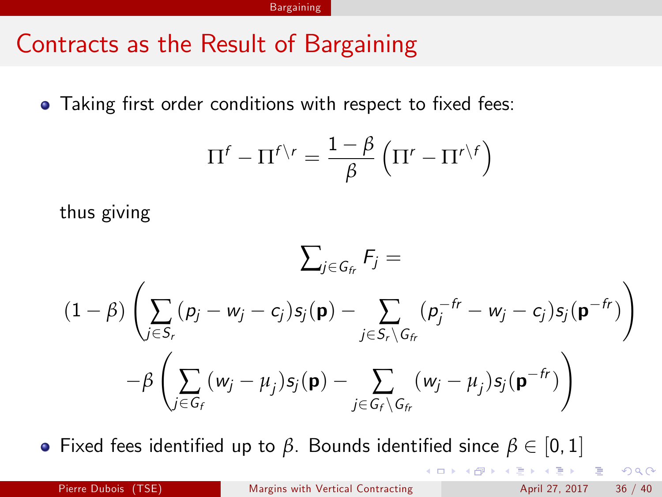• Taking first order conditions with respect to fixed fees:

$$
\Pi^f - \Pi^{f \setminus r} = \frac{1 - \beta}{\beta} \left( \Pi^r - \Pi^{r \setminus f} \right)
$$

thus giving

$$
\sum_{j \in G_f} F_j =
$$
\n
$$
(1 - \beta) \left( \sum_{j \in S_r} (p_j - w_j - c_j) s_j(\mathbf{p}) - \sum_{j \in S_r \setminus G_f} (p_j^{-fr} - w_j - c_j) s_j(\mathbf{p}^{-fr}) \right)
$$
\n
$$
- \beta \left( \sum_{j \in G_f} (w_j - \mu_j) s_j(\mathbf{p}) - \sum_{j \in G_f \setminus G_f} (w_j - \mu_j) s_j(\mathbf{p}^{-fr}) \right)
$$

**•** Fixed fees identified up to *β*. Bounds identified since  $β ∈ [0, 1]$ <br>  ${1 \over 2} P^{\frac{1}{2}} P^{\frac{1}{2}} P^{\frac{1}{2}} P^{\frac{1}{2}} P^{\frac{1}{2}} P^{\frac{1}{2}} P^{\frac{1}{2}} P^{\frac{1}{2}} P^{\frac{1}{2}} P^{\frac{1}{2}} P^{\frac{1}{2}} P^{\frac{1}{2}} P^{\frac{1}{2}} P^{\frac{1}{2}} P^{\frac{1}{2}} P^{\frac$  ${1 \over 2} P^{\frac{1}{2}} P^{\frac{1}{2}} P^{\frac{1}{2}} P^{\frac{1}{2}} P^{\frac{1}{2}} P^{\frac{1}{2}} P^{\frac{1}{2}} P^{\frac{1}{2}} P^{\frac{1}{2}} P^{\frac{1}{2}} P^{\frac{1}{2}} P^{\frac{1}{2}} P^{\frac{1}{2}} P^{\frac{1}{2}} P^{\frac{1}{2}} P^{\frac$  ${1 \over 2} P^{\frac{1}{2}} P^{\frac{1}{2}} P^{\frac{1}{2}} P^{\frac{1}{2}} P^{\frac{1}{2}} P^{\frac{1}{2}} P^{\frac{1}{2}} P^{\frac{1}{2}} P^{\frac{1}{2}} P^{\frac{1}{2}} P^{\frac{1}{2}} P^{\frac{1}{2}} P^{\frac{1}{2}} P^{\frac{1}{2}} P^{\frac{1}{2}} P^{\frac$ 

 $\Omega$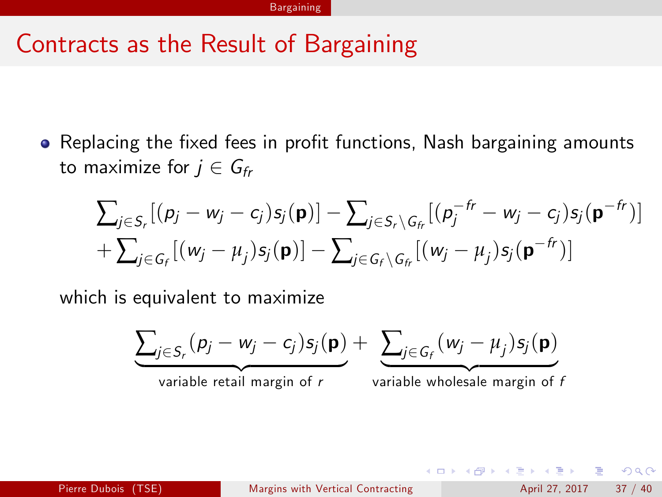• Replacing the fixed fees in profit functions, Nash bargaining amounts to maximize for  $j \in G_{fr}$ 

$$
\sum_{j\in S_r}[(p_j-w_j-c_j)s_j(\mathbf{p})]-\sum_{j\in S_r\setminus G_r}[(p_j^{-fr}-w_j-c_j)s_j(\mathbf{p}^{-fr})]
$$
  
+
$$
\sum_{j\in G_r}[(w_j-\mu_j)s_j(\mathbf{p})]-\sum_{j\in G_r\setminus G_r}[(w_j-\mu_j)s_j(\mathbf{p}^{-fr})]
$$

which is equivalent to maximize

$$
\underbrace{\sum_{j \in S_r} (p_j - w_j - c_j) s_j(\mathbf{p})}_{\text{variable retail margin of } r} + \underbrace{\sum_{j \in G_f} (w_j - \mu_j) s_j(\mathbf{p})}_{\text{variable wholesale margin of } t}
$$

画

 $\Omega$ 

イロト イ押 トイヨト イヨ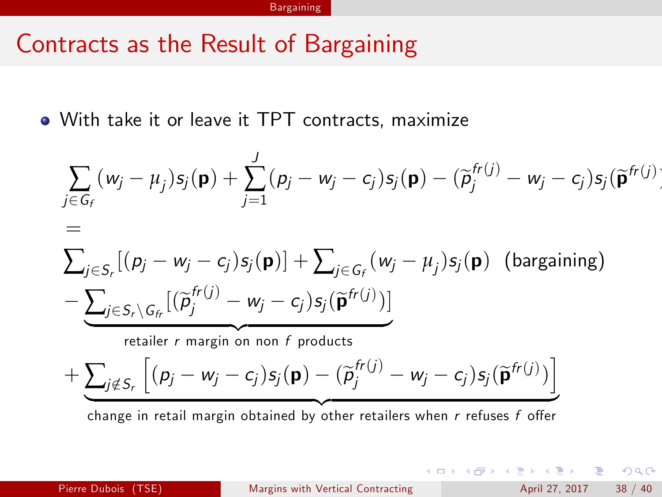#### **Bargaining**

#### Contracts as the Result of Bargaining

With take it or leave it TPT contracts, maximize

$$
\sum_{j \in G_f} (w_j - \mu_j) s_j(\mathbf{p}) + \sum_{j=1}^J (p_j - w_j - c_j) s_j(\mathbf{p}) - (\widetilde{p}_j^{fr(j)} - w_j - c_j) s_j(\widetilde{\mathbf{p}}^{fr(j)})
$$
\n
$$
= \sum_{j \in S_r} [(\rho_j - w_j - c_j) s_j(\mathbf{p})] + \sum_{j \in G_f} (w_j - \mu_j) s_j(\mathbf{p}) \text{ (bargaining)}
$$
\n
$$
- \underbrace{\sum_{j \in S_r \setminus G_f} [(\widetilde{p}_j^{fr(j)} - w_j - c_j) s_j(\widetilde{\mathbf{p}}^{fr(j)})]}_{\text{retaller } r \text{ margin on non } f \text{ products}} + \underbrace{\sum_{j \notin S_r} [(\rho_j - w_j - c_j) s_j(\mathbf{p}) - (\widetilde{p}_j^{fr(j)} - w_j - c_j) s_j(\widetilde{\mathbf{p}}^{fr(j)})]}_{\text{interfered by } g \text{ (by } g \text{ (by } g \text{)}
$$

change in retail margin obtained by other retailers when r refuses f offer

 $\equiv$  $\eta$ an

 $\left\{ \begin{array}{ccc} 1 & 0 & 0 \\ 0 & 1 & 0 \end{array} \right.$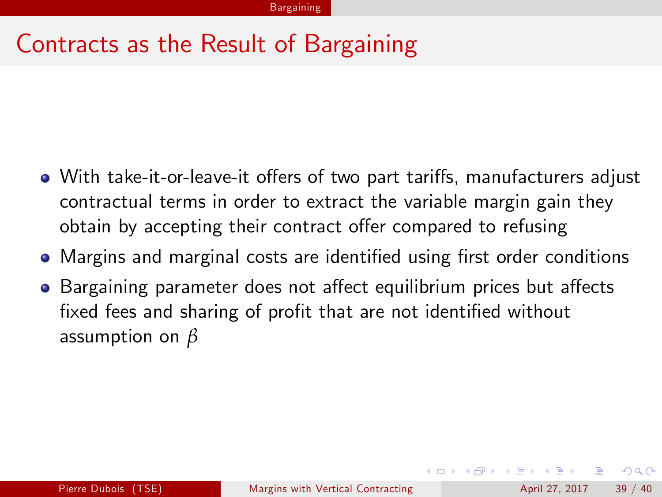- With take-it-or-leave-it offers of two part tariffs, manufacturers adjust contractual terms in order to extract the variable margin gain they obtain by accepting their contract offer compared to refusing
- Margins and marginal costs are identified using first order conditions
- Bargaining parameter does not affect equilibrium prices but affects fixed fees and sharing of profit that are not identified without assumption on *β*

 $\Omega$